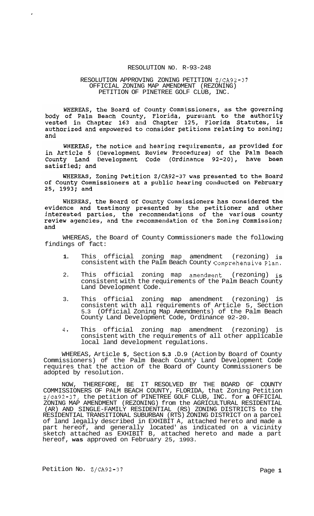# RESOLUTION NO. R-93-248

# RESOLUTION APPROVING ZONING PETITION Z/CA92-37 PETITION OF PINETREE GOLF CLUB, INC. OFFICIAL ZONING MAP AMENDMENT (REZONING)

WHEREAS, the Board of County Commissioners, as the governing body of Palm Beach County, Florida, pursuant to the authority vested in Chapter 163 and Chapter 125, Florida Statutes, is authorized and empowered to consider petitions relating to zoning; and

WHEREAS, the notice and hearing requirements, as provided for<br>in Article 5 (Development Review Procedures) of the Palm Beach County Land Development Code (Ordinance 92-20), have been satisfied; and

WHEREAS, Zoning Petition Z/CA92-37 was presented to the Board of County Commissioners at a public hearing conducted on February<br>25, 1993; and

WHEREAS, the Board of County Commissioners has considered the evidence and testimony presented by the petitioner and other interested parties, the recommendations of the various county review agencies, and the recommendation of the Zoning Commission; and

WHEREAS, the Board of County Commissioners made the following findings of fact:

- **1.** This official zoning map amendment (rezoning) is consistent with the Palm Beach County Comprehensive plan.
- 2. This official zoning map amendment (rezoning) is consistent with the requirements of the Palm Beach County Land Development Code.
- 3. This official zoning map amendment (rezoning) is consistent with all requirements of Article 5, Section 5.3 (Official Zoning Map Amendments) of the Palm Beach County Land Development Code, Ordinance 92-20.
- **4** This official zoning map amendment (rezoning) is consistent with the requirements of all other applicable local land development regulations.

WHEREAS, Article **5,** Section **5.3** .D. 9 (Action by Board of County Commissioners) of the Palm Beach County Land Development Code requires that the action of the Board of County Commissioners be adopted by resolution.

NOW, THEREFORE, BE IT RESOLVED BY THE BOARD OF COUNTY COMMISSIONERS OF PALM BEACH COUNTY, FLORIDA, that Zoning Petition z/ca92-37, the petition of PINETREE GOLF CLUB, INC. for **a** OFFICIAL ZONING MAP AMENDMENT (REZONING) from the AGRICULTURAL RESIDENTIAL (AR) AND SINGLE-FAMILY RESIDENTIAL (RS) ZONING DISTRICTS to the RESIDENTIAL TRANSITIONAL SUBURBAN (RTS) ZONING DISTRICT on a parcel of land legally described in EXHIBIT A, attached hereto and made a part hereof, and generally located' as indicated on a vicinity sketch attached as EXHIBIT B, attached hereto and made a part hereof, **was** approved on February 25, 1993.

Petition No. 2/CA92-37 Page 1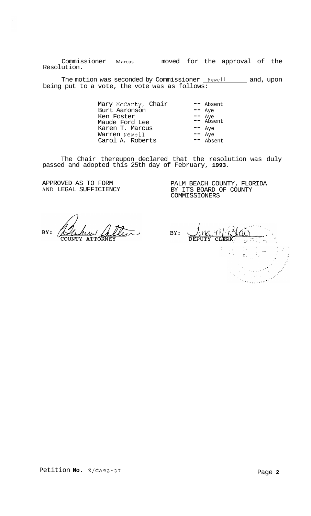Commissioner Marcus moved for the approval of the Resolution.

The motion was seconded by Commissioner <u>Newell and</u>, upon being put to a vote, the vote was as follows:

> Mary McCarty, Chair -- Absent Burt Aaronson -- Aye Ken Foster -- Aye Maude Ford Lee Karen T. Marcus -- Aye Warren Newell -- Aye Carol A. Roberts -- Absent -- Aye<br>-- Aye<br>-- Absent<br>-- Aye

The Chair thereupon declared that the resolution was duly passed and adopted this 25th day of February, **1993.** 

APPROVED AS TO FORM AND LEGAL SUFFICIENCY PALM BEACH COUNTY, FLORIDA BY ITS BOARD OF COUNTY COMMISSIONERS

allen BY:

 $BY:$  $ln(1)$ DEPUTY  $\mathbb{R}^{\mathbb{Z}}$ 1199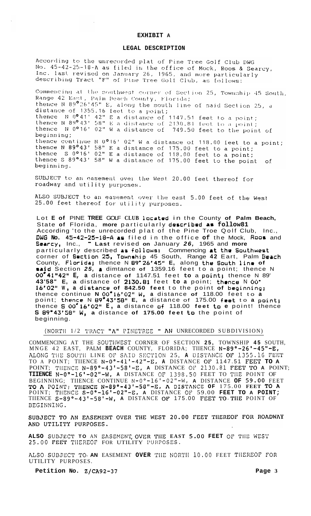# **LEGAL DESCRIPTION**

According to the unrecorded plat of Pine Tree Golf Club DWG No. 45-42-25-18-A as filed in the office of Mock, Roos & Searcy, Inc. last revised on January 26, 1965, and more particularly describing Tract "F" of Pine Tree Golf Club, as follows:

Commencing at the southwest corner of Section 25, Township 45 South, Range 42 East, Palm Beach County, Florida; thence N 89°26!45" E, along the south line of said Section 25, a distance of 1355.16 feet to a point; distance of 1355.16 feet to a point;<br>thence  $N = 0.0041'$  42" E a distance of 1147.51 feet to a point;<br>thence  $N = 89^{\circ}43'$  58" E a distance of 2130.81 feet to a point;<br>thence  $N = 0.0016'$  02" W a distance of 749.50 feet beginning; beginning,<br>thence continue N 0°16' 02" W a distance of 118.00 feet to a point;<br>thence N 89°43' 58" E a distance of 175.00 feet to a point;<br>thence S 0°16' 02" E a distance of 118.00 feet to a point;<br>thence S 89°43' 58" W a beginning.

SUBJECT to an easement over the West 20.00 feet thereof for roadway and utility purposes.

ALSO SUBJECT to an easement over the east 5.00 feet of the West 25.00 feet thereof for utility purposes.

Lot **E of** PINE **TREE** GOLF **CLUB** located in the County **of Palm Beach,**  State **of** Florida, **more** particularly deecribed **a8 follow81**  According 'to the unrecorded plat of the Pine Troe Qolf Club, Inc., **DUG No.** 45-42-25-18-A **a~** filed in the office **of** the Mock, **Roor** and Searcy, Inc., - **Last** revised **on** January *26,* 1965 and **more**  particularly described as follows: Commencing at the Southwest corner of Boction *25,* Townchip 45 South, Range **42** Eart, Palm Baach County, Florida1 thence N **89°26'45" E,** along the Bouth Aina **of .&id** Section *25, P* dimtance **of** 1359.16 feet to a point; thence N **00°41"42" E, a** distance **of** 1147.51 feet **to** a point1 thence N 89' **43'58" E, a** distance of **2130.81** feet **to a** point; thmnce N *00'*  **16'02'' W** , **a** di6tanco **of 842.50 feet** to the point **of** beginning1 thence continue **N** 00'16'02" **W, a** distance **of** 118.00 feet to **a**  point; th@nce N **E39"43'58" E, a** distance of 175.00 feet to **a** point1 thence **S OC~"16'02'~ E** , **a** distance **of** 118.00 **feet to e** point! thence **s 89'43'58" W, a** distance **of 175.00 feet** to the point of beginning.

(NORTI1 1/2 TRACT **"All** PINEl'REE - AI4 UNRECORDED SUBDIVISION)

COMMENCING AT THE SOUTIIWEST CORNER OF SECTION **25,** TOWNSHIP **45** SOUTH, MNGE 42 EAST, PALM BEACH COUNTY, FLORIDA; THENCE N-89°-26'-45"-E, ALONG THE SOUTH LINE OF SAID SECTION 25, A DISTANCE OF 1355.16 FEET TO A POINT; TIIENCE N-O0-41'-42''-E, **A** DISTANCE **OF** 1147.51 **L'EE'l' TO A**  POINT; THENCE N-89°-43'-58'-E, A DISTANCE OF 2130.81 FEET TO A POINT; **TIIENCE** N-O0-1G8-02"-W, **A** DISTANCE **OF** 1.398.50 FEET TO TIlE POINT OF BEGINNING; TIIENCE CONTINUE N-0°-16'-02"-W, **A** DISTANCE **OF** 59.00 FEET *TO* **A POINT1** Q'lIENCE **N-8g0-43'-5O"-I3, A RISTANCE OF** 175.00 **FEET A**  POINT; TIiENCE **S-O0-lG'-02"-E, A** DISTANCE **01.'** 59.00 **FEET TO A POINT;**  TIIENCE S-89O-43'-58'-W, **A** DISTANCE **OF** 175.00 FEEI' TO.'l'11E POINT OF DEGINNING.

SUBJECT TO AN EASEMENT OVER THE WEST 20.00 FEET THEREOF FOR ROADWAY AND UTILITY PURPOSES.

**ALSO** SUI3J.ECT **TO** AN **EASEMEN'r,** OVIZR **TI115 EAST** *5.* **00 FEET OP** TIIE WEST 25.00 FEET THEREOF FOR UTILITY PURPOSES.

ALSO. **SUI33ECT** TO. **AN** EASEMENT **OVER** TIIE NORTll **10.00** FEET TIIEIUZOF **FOR**  UTILITY PURPOSES.

**Petition No. Z/CA92-37 Page 3**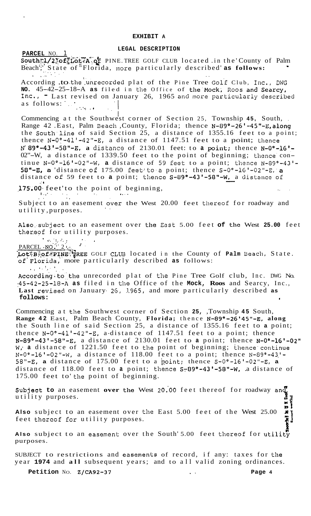# **LEGAL DESCRIPTION**

**PARCEL** NO. 1 . South:1/2<sup>x</sup>offLot<sup>x</sup>A<sup>n</sup>.of PINE. TREE GOLF CLUB located .in the County of Palm Beach';' State of "Florida, more particularly described' **as follows:**  en, beare of florida, more particularly described.

According .to the unrecorded plat of the Pine Tree Golf Club, Inc., DWG **NO.** 45-42-25-18-A **as** filed in the Office of the'Mock; Roes **and** SearCy, NO. 45-42-25-16-A as iffed in the Office of the MOCK, Roos and Searcy,<br>Inc., " Last revised on January 26, 1965 and more particularly described as follows:  $\frac{1}{2}$ ,  $\frac{1}{2}$ 

Commencing at the Southwest corner of Section 25, Township 45, South, Range 42 .East, Palm Beach ,County, Florida; thence N-89°-26'-45"-E, along the South'line of said Section 25, a distance of 1355.16 feet to a point; thence  $N-0$ <sup>o</sup>-41'-42"-E, a distance of 1147.51 feet to a point; thence **N' 89°-43'-50"-E, a** distanco of 2130.01 feet: to **a** poinL; thence **N-Oo-lG'.-**  02"-W, a distance of 1339.50 feet to the point of beginning; thence continue N-0°-16'-02"-W, a distance of 59 feet to a point; thence N-89°-43<br>58"-E, a 'distance of 175.00 feet to a point; thence S-0°-16'-02"-E, a<br>distance of 59 feet to a point; thence S-89°-43'-58"-W, a distance of<br>75:00 fe **513"-E, a** 'distance **of** 175.00 feet.' **t0.a** point; thence S-0°-1G'-02"-E, ' **a**  distance of 59 feet to a point; thence  $S-89^\circ-43'$ -58"-W, a distance of

175.00 feet'to the point of beginning, **1.** ,- . .. . ,. .. . . .. ..

Subject to an easement over the West 20.00 feet thereof for roadway and utility, purposes.

Also..subject to an easement over the East 5.00 feet **of the** West **25.00** feet thereof for utility purposes.

' **I'.** .:,. .'. ; '. <sup>I</sup> PARCEL NO':' 2 'I,.\*. *4.* 

**PARCEL NO. 21.**<br>Lot<sup>*T*</sup>B<sub>i</sub>of PINE TREE GOLF CLUB located in the County of Palm Beach, State. of'Florida, more particularly described **as** follows: *I,!* , **I**  ..

According to the unrecorded plat of the Pine Tree Golf club, Inc. DWG No. :45-42-25-18-A **as** filed in **the** Office of the **Mock, Roos** and Searcy, Inc., **Last revieed** on January- 26, **1.965,** and more particularly described **as follows: <sup>I</sup>**

Commencing at the Southwest corner of Section **25,** ,Township **45** South, **Range 42** East, Palm Beach County, **Florida;** thence **N-8g0-26'45"-E, along**  the South line of said Section 25, a distance of 1355.16 feet to **a** point; thence  $N-0$ °-41'-42"-E, a-distance of 1147.51 feet to a point; thence N-89"-43'-58"-E, a distance of 2130.01 feet to **a** point; thence **N-0°-1G'-02"**  W, a distance of 1221.50 feet to the point of beginning; thence continue N-0°-16'-02"-W, a distance of 118.00 feet to a point; thence **N-89O-43.'- 58"-E, a** distance of 175.00 feet to a boint; thence S-0°-16'-02"-E, **a**  distance of 118.00 feet to a point; thence  $S-89^{\circ}-43'$ -58"-W, a distance of 175.00 feet to' the point of beginning.

subject to an easement over the West 20.00 feet thereof for roadway and **0 1998 1999 1999 1999 1999 1999 1999 1999 1999 1999 1999 1999 1999 1999 1999 1999 1999 1999 1999 1999 1999 1999 1999 1999 1999 1999 1999 1999 1999 1999 1999 P E** 

Also subject to an easement over the East 5.00 feet of the West 25.00 **P**<br>feet thereof for utility purposes. feet there for utility purposes.

Also subject to an easement over the South' 5.00 feet thereof for utility purposes.

SUBJECT to restrictions and eaeements of record, if any: taxes for the year **1974** and **all** subsequent years; and to all valid zoning ordinances.

**Petition** No. **z/CA92-37 ... Page 4** 

t<br>1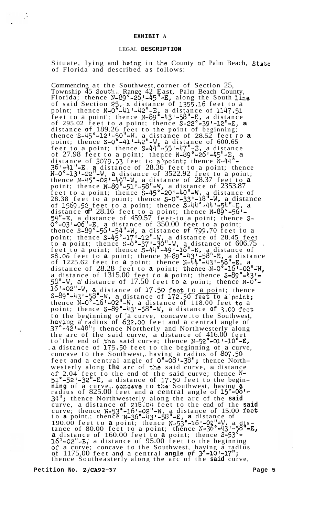$\frac{1}{2}$ 

# LEGAL **DESCRIPTION**

Situate, lying and being in the County of Palm Beach, State of Florida and described as follows:

Commencing at the Southwest, corner of Section 25, Township 45 South, Range 42 East, Palm Beach County, Florida; thence  $N-\frac{26!}{-45"}$ -E, along the South line of said Section 25, a distance of 1355.16 feet to a point; thence  $N=0$ <sup>6</sup>-41'-42"-E, a distance of 1147.51 feet to a point'; thence  $N-89^\circ - 43^\circ - 58^\circ - E$ , a distance of 295.02 feet to a point; thence S-22"-3g1-12"-E, **a**  distance **of** 189.26 feet to the point of beginning; thence 'S-45"-121-50"-W, a distance of 28.52 feet *to* **a**  point; thence  $S=0$ <sup>6</sup> $-41$ <sup>1</sup> $-42$ <sup>"</sup> $-W_1$  a distance of 600.65 feet to a point; thence  $S-44^6-55^7-47^7-E$ , a distance of 27.98 feet to a point; thence  $N-89^\circ-26^\circ-45^\circ- E$ , a distance of  $3079.53$  feet to a point; thence  $N-44^6$ -361-41"-~, **a** distance of 28.36 feet to a point; thence N-0°-13t-22"-W, **a** distance of 3522.92 feet to a point; thence N-45°-021-40"-W, a distance of 28.37 feet to **a**  point; thence  $N-89^\circ -51' -58'' - W$ , a distance of 2353.87 feet to a point; thence  $S-45^\circ-20'$ -40"-W, a distance of  $28.38$  feet to a point; thence  $S=0$ ° $-33!-18$ "-W, a distance of 1569.52 feet to a point; thence  $5-44^{\circ}$ -44'-54"-E, a distance **of'** 28.16 feet to a point; thence N-89"-561- 54"-E, a distance of 459.57 feet - to a point; thence *S-* $\overline{0}^{\circ}$ -03<sup>'</sup>-06<sup>"</sup>-E, a distance of 350.00 feet to a point; thence **S-89"-561-54"-W,** a distance *of* 799.70 feet to a point; thence  $S-45^\circ-17^\circ-12^\circ-\frac{1}{2}$ , a distance of 28.45 feet to **a** point; thence **S-0"-371-30"-W,** a distance of 606.75 . feet to a point; thence S-44"-4g1-16"-E, a distance of 28.0G feet to **a** point; thence N-89"-43t-58"-E, a distance of 1225.62 feet to **a** point; thence N-44"-431-58"-E, a distance of  $28.28$  feet to **a** point; thence  $N-0$ <sup>-16<sup> $-0$ </sup>-02<sup>"</sup>-W,</sup> a distance of 1315.00 feet *to* **a** point; thence S-89"-431- 58.It-w, a' distance of 17.50 feet to *2* point; thence **N-0'-**  16'-02"-w, **a** distance of **17.50 feet;** to a point; thence  $S-89^\circ-43'$ -58"-W, a distance of 172.50 feet to a point; thence  $N-0$ <sup> $\sim$ </sup>-16'-02"-W, a distance of 118.00 feet to a point; thence  $S-89^\circ-43' -58''-W$ , a distance of 3.00 feet to the beginning of 'a curve, concave .to the Southwest, having a radius of 632.00 feet and a central angle of **37"-42** '-48"; thence Northerly and Northwesterly along the arc of the said curve, a distance of 416.00 feet to' the end of the said curve; thence  $N-52^{\circ}-01^{\circ}-10^{\circ}-1$ .a distance of **175.50** feet to the beginning of a curve, concave to the Southwest,. having a radius of 807.50 feet and a central angle of 0"-081-38"; thence Northwesterly along the arc of the said curve, a distance of 2.04 feet to the end of the said curve; thence N-<br>51<sup>o</sup>-52'-32"-E, a distance of 17.50 feet to the begin-<br>**ning** of a curve, concave to the Southwest, having 8. radius of 825.00 feet and a central angle of **15"-08'-**  34"; thence Northwesterly along the arc of the **said**  curve, a distance of 218.01k feet to the end of the **said**  curve; thence **N-53°-161-02"-W,** a distance of 15.00 *feet*  to **a** point.; thence N-36°-43'-58"-E, **a** distance of <br>190.00 feet to **a** point; thence N-53°-16'-02"-W, a distance of 80.00 feet to a point; thence  $N-3\overline{6}^\circ -43' -50'' - E$ **a** distance of 160.00 feet to **a** point; thence S-53"-  $16^\circ$ -02"-E; a distance of 95.00 feet to the beginning of a curve; concave to the Southwest, having a radius of 1175.00 feet and a central **angle** *of* **3."-101-17";**  thence Southeasterly along the arc of the **said** curve,

**Petition No. Z/CA92-37 Page 5**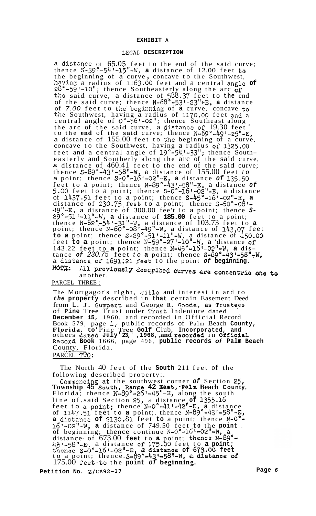## LEGAL **DESCRIPTION**

<span id="page-5-0"></span>a distance of  $65.05$  feet to the end of the said curve; thence  $S-39^\circ-541-15''-W$ , a distance of 12.00 feet to the beginning of a curve, concave to the Southwest, having a radius of 1163.00 feet and a central angle **of**   $28^{\circ}$ -59'-10"; thence Southeasterly along the arc of the said curve, a distance of 588.37 feet to **the** end of the said curve; thence N-68°-531-23"~E, **a** distance of *7.00* feet to the'beginning of **a** curve, concave to the Southwest, having a radius of 1170.00 feet and,a central angle of *Oo-561-02";* thence Southeast along the arc of the said curve, a distance of  $19.30$  feet to the **end** of the said curve; thence **N-69"-491-25"-E,**  a distance of  $155.00$  feet to the beginning of a curve, concave to the Southwest, having a radius of 1325.00 feet and a central angle of 19"-54.'-33"; thence Southeasterly and Southerly along the arc of the said curve, **a** distance of 460.41 feet to the end of the said curve; thence S-89°-431-58"-W, a distance of 155.00 feet *to*  a point; thence  $S=0^\circ-16^\circ-02^\circ-E$ , a distance of 135.50 feet to a point; thence N-89°-43t.-58"-E, a distance *of*   $5.00$  feet to a point; thence  $S-0$ <sup>o</sup>-16'-02"-E, a distance of 11137.51 feet to a point; thence S-45°-16t-02'1-E, **a**  distance of 230.75,feet to a point; thence s-60'-08'- 49"-E, a distance of 300.00 fee't to a point; thence *S-* 29°-511-11"-W, **a** distance of **185.00** feet to a point; thence **N-62°.-541-31"-k/,** a distance of 103.73 feet to **a**  point; thence  $N-60^{\circ}$ -08<sup>1</sup>-49<sup>11</sup>-W, a distance of 143.07 feet to *a* point; thence  $S-29^\circ -51^\circ -11^\circ -W$ , a distance of 150.00 feet **to a** point; thence **N-5g"-271-10"-W,** a 'distance *of*  143.22 feet to **a** point; thence  $N-45^{\circ}-16^{\circ}-02^{\circ}-W$ , **a** dis-<br>tance of 230.75 feet *to* **a** point; thence  $S-89^{\circ}-43^{\circ}-58^{\circ}-W$ , a distance of 1691.21 feet to the point of beginning.

All previously described curves are concentric one to another. NOTE: another. PARCEL THREE :

The Mortgagor's right, title and interest in and to *the* **property** described in **that** certain Easement Deed from L. J. Gumpert and George **R.** Goode, **as** Truste.es of **Pine** Tree Trust under Trust Indenture dated **December 15,** 1960, and recorded in Official Record Book 579, page 1, public records of Palm Beach County, **Florida, to'** Pine Tree **Golf** Club, **Incorporated, and**  others **tiatad July' 23,' ,1968, ,and reoorded** in **OffiaAal**  Record **Book** 1666, page 496, **public records** *of* **Palm Beach**  County, Florida.  $\overline{P}$ PARCEL TWO:

The North 40 feet of the **South** 211 feet of the following described property:.

Commencing'at the southwest corner *of* Section 25, **Township 45 South, Range 42 East, Palm Beach County,** Florida; thence N-89°-26'-45"-E, along the south line of. said Section 25, a distance **of** 1355.16 feet to a.point; thence N-0°-411-42"-E, **a** distance of 1147.51 feet to **a** point;. thence N-89°-431-58"-E **a** diztance **of** 2130.81 feet **to** a point; thence *N-0'-*  16'-02~I-w, **a** distance of 749.50 feet **to** the **point** . of beginning; thence continue N-0."-16 '-02"-w, **a**  distance of 673.00 feet to a point; thence N-89°. 4,"1-58~~-~~, a distance of'175.00 feet to **a point;**  thence  $S-0$ °-16'-02"-E<sub>1</sub> a distance of 673.00 feet to a point; thence. **S-89°-43L-58'!-W, a dhtanoe** *of* 175.00 feet\*to the **point** *of* **beginning.** 

**Petition No. Z/CA92-37 Page** *6*